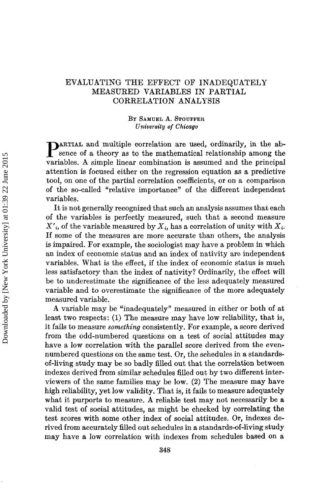# **EVALUATING THE EFFECT OF INADEQUATELY MEASURED VARIABLES IN PARTIAL CORRELATION ANALYSIS**

# **BY SAMUEL A. STOUFFER**  *University of Chicago*

**PARTIAL and multiple correlation are used, ordinarily, in the absence of a theory as to the mathematical relationship among the** variables. **A** simple linear combination is assumed and the principal attention is focused either on the regression equation as a predictive tool, on one of the partial correlation coefficients, or on a comparison of the so-called "relative importance" **of** the different independent variables.

It is not generally recognized that such an analysis assumes that each of the variables is perfectly measured, such that a second measure  $X'$ <sub>i</sub>, of the variable measured by  $X_i$ , has a correlation of unity with  $X_i$ . If some of the measures are more accurate than others, the analysis is impaired. For example, the sociologist may have a problem in which an index of economic status and an index of nativity are independent variables. What is the effect, if the index of economic status is much less satisfactory than the index of nativity? Ordinarily, the effect will be to underestimate the significance of the less adequately measured variable and to overestimate the significance of the more adequately measured variable.

**A** variable may be "inadequately" measured in either or both of at least two respects: **(1)** The measure may have low reliability, that is, it fails to measure *something* consistently. For example, a score derived from the odd-numbered questions on a test of social attitudes may have a low correlation with the parallel score derived from the evennumbered questions on the same test. **Or,** the schedules in a standardsof-living study may be so badly filled out that Lhe correlation between indexes derived from similar schedules filled out by two different interviewers of the same families may be low. **(2)** The measure may have high reliability, yet low validity. That is, it fails to measure adequately what it purports to measure, **A** reliable test may not necessarily be **a**  valid test oi social attitudes, as might be checked by correlating the test scores with some other index of social attitudes. Or, indexes derived from accurately filled out schedules in a standards-of-living study may have a low correlation with indexes from schedules based on a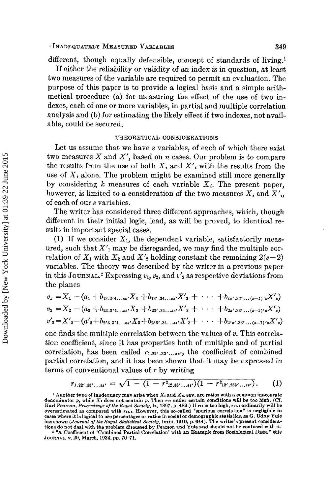### . **INADEQUATELY MEASURED VARIABLES 349**

different, though equally defensible, concept of standards of living.<sup>1</sup> If either the reliability or validity of an index is in question, at least two measures of the variable are required to permit an evaluation. The purpose of this paper is to provide a logical basis and a simple arithmetical procedure (a) for measuring the effect of the use of two indexes, each of one or more variables, in partial and multiple correlation analysis and (b) for estimating the likely effect if two indexes, not available, could be secured.

# **THEORETICAL CONSIDERATIONS**

Let us assume that we have *s* variables, of each of which there exist two measures *X* and **X',** based on *n* cases. Our problem is to compare the results from the use of both  $X_i$  and  $X'_i$  with the results from the use of  $X_i$  alone. The problem might be examined still more generally by considering  $k$  measures of each variable  $X_i$ . The present paper, however, is limited to a consideration of the two measures  $X_i$  and  $X'$ <sub>i</sub>, of each of our *s* variables.

The writer has considered three different approaches, which, though different in their initial logic, lead, as will be proved, to identical results in important special cases.

(1) If we consider  $X_1$ , the dependent variable, satisfactorily measured, such that  $X'$ <sub>1</sub> may be disregarded, we may find the multiple correlation of  $X_1$  with  $X_2$  and  $X'_2$  holding constant the remaining  $2(s-2)$ variables. The theory was described by the writer in a previous paper in this JOURNAL.<sup>2</sup> Expressing  $v_1$ ,  $v_2$ , and  $v'_2$  as respective deviations from the planes

\n The planes\n 
$$
v_1 = X_1 - (a_1 + b_{13.3'4...ss'}X_3 + b_{13',34...ss'}X'_3 + \cdots + b_{1s',33'...(s-1)'s}X'_s)
$$
\n

\n\n $v_2 = X_2 - (a_2 + b_{23.3'4...ss'}X_3 + b_{23',34...ss'}X'_3 + \cdots + b_{2s',33'...(s-1)'s}X'_s)$ \n

\n\n $v'_2 = X'_2 - (a'_2 + b_{2'3.3'4...ss'}X_3 + b_{2'3',34...ss'}X'_3 + \cdots + b_{2s',33'...(s-1)'s}X'_s)$ \n

one finds the multiple correlation between the values of *v.* This correlation coefficient, since it has properties both of multiple and of partial correlation, has been called  $r_{1,22',33',...ss'}$ , the coefficient of combined partial correlation, and it has been shown that it may be expressed in terms of conventional values of *T* by writing

$$
r_{1.22'.33'...ss'} = \sqrt{1 - (1 - r_{12.33'...ss'})(1 - r_{12'.233'...ss'}}).
$$
 (1)

**<sup>1</sup>Another type of inadequacy may arise when** *X,* **and XI, say. are ratios with a common inaccurate**  denominator p, while X<sub>1</sub> does not contain p. Then  $r_{11}$  under certain conditions will be too high. (Cf. Karl Pearson, Proceedings of the Royal Society, 1x, 1897, p. 489.) If  $r_{11}$  is too high,  $r_{11}$ , ordinarily will overestimated as compared with  $r_{11}$ . However, this so-called "spurious correlation" is negligible in cases where it is logical to use percentages or ratios in social or demographic statistics, as G. Udny Yule<br>has shown (Journal of the Royal Statistical Society, 1xxiii, 1910, p. 644). The writer's present considera**tions do not deal with the problem discussed by Pearson and Yule and should not be confused with it.** 

<sup>&</sup>lt;sup>2</sup> "A Coefficient of 'Combined Partial Correlation' with an Example from Sociological Data," this **JOURNAL, v. 29, March, 1934, pp. 70-71.**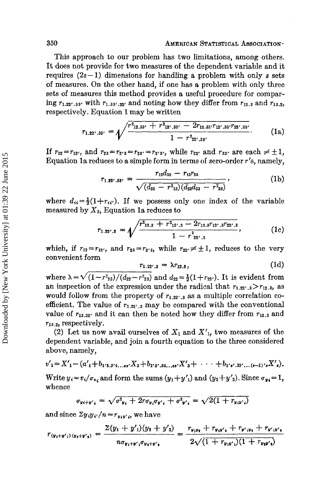# **350 AMERICAN STATISTICAL ASSOCIATION.**

This approach to our problem has two limitations, among others. It does not provide for two measures of the dependent variable and it requires  $(2s-1)$  dimensions for handling a problem with only s sets **of** measures. On the other hand, if one has **a** problem with only three sets of measures this method provides a useful procedure for comparing  $r_{1.22',33'}$  with  $r_{1.33',22'}$  and noting how they differ from  $r_{12,3}$  and  $r_{13,2}$ , respectively. Equation **1** may be written

$$
r_{1.22'.33'} = \sqrt{\frac{r_{12.33'} + r_{12'.33'} - 2r_{12.33'}r_{12'.33'}r_{22'.33'}}{1 - r_{22'.33'}}}. \tag{1a}
$$

If  $r_{12} = r_{12'}$ , and  $r_{23} = r_{2'3} = r_{2'3'} = r_{2'3'}$ , while  $r_{22'}$  and  $r_{33'}$  are each  $\neq \pm 1$ , Equation 1a reduces to a simple form in terms of zero-order *r's*, namely,<br> $r_{12}d_{33} - r_{13}r_{23}$  (1b)

$$
r_{1.22'.33'} = \frac{r_{12}d_{33} - r_{13}r_{23}}{\sqrt{(d_{33} - r_{13})(d_{22}d_{33} - r_{23})}},
$$
 (1b)

where  $d_{ii} = \frac{1}{2}(1+r_{ii'})$ . If we possess only one index of the variable measured by *X3,* Equation la reduces to

$$
r_{1.22',3} = \sqrt{\frac{r^2_{12.3} + r^2_{12'.3} - 2r_{12.3}r_{12'.3}r_{22'.3}}{1 - r^2_{22'.3}}},
$$
 (1c)

which, if  $r_{12} = r_{12'}$ , and  $r_{23} = r_{2'3}$ , while  $r_{22'} \neq \pm 1$ , reduces to the very convenient form

$$
r_{1.22',3} = \lambda r_{12,3}, \qquad (1d)
$$

where  $\lambda = \sqrt{(1-r_{23})/(d_{22}-r_{23}^2)}$  and  $d_{22} = \frac{1}{2}(1+r_{22})$ . It is evident from an inspection of the expression under the radical that  $r_{1.22',3} > r_{12,3}$ , as would follow from the property of  $r_{1,22',3}$  as a multiple correlation coefficient. The value of  $r_{1.22',3}$  may be compared with the conventional value of  $r_{13.22}$  and it can then be noted how they differ from  $r_{12.3}$  and **r13 .2,** respectively.

(2) Let us now avail ourselves of  $X_1$  and  $X'_1$ , two measures of the dependent variable, and join a fourth equation to the three considered above, namely,

$$
v'_{1} = X'_{1} - (a'_{1} + b_{1's,3'4...ss'}X_{3} + b_{1's',34...ss'}X'_{3} + \cdots + b_{1's',33'...(s-1)'s}X'_{s}).
$$
  
Write  $y_{i} = v_{i}/\sigma_{v_{i}}$  and form the sums  $(y_{1} + y'_{1})$  and  $(y_{2} + y'_{2})$ . Since  $\sigma_{y_{i}} = 1$ , whence

$$
\sigma_{y_i+y'_i} = \sqrt{\sigma_{y_i}^2 + 2r\sigma_{y_i}\sigma_{y'_i} + \sigma_{y'_i}^2} = \sqrt{2(1 + r_{y_iy'_i})}
$$

and since  $\Sigma y_i y_{i'}/n = r_{y_i y_i}$ , we have

$$
r_{(y_1+y'_1)(y_2+y'_2)} = \frac{\Sigma(y_1+y'_1)(y_2+y'_2)}{n\sigma_{y_1+y'_1}\sigma_{y_2+y'_2}} = \frac{r_{y_1y_2}+r_{y_1y'_2}+r_{y'_1y_2}+r_{y'_1y'_2}}{2\sqrt{(1+r_{y_1y'_1})(1+r_{y_2y'_2})}}
$$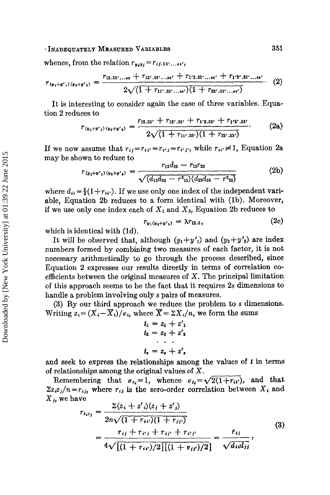# . **INADEQUATELY MBLASURED VARIABLES 351**

whence, from the relation  $r_{y_i y_j} = r_{ij,33'...s}$ 

$$
r_{(y_1+y')}(y_2+y') = \frac{r_{12.33'...s\cdot s} + r_{12'.33'...s\cdot s'} + r_{1'2.33'...s\cdot s'} + r_{1'2'.33'...s\cdot s'}}{2\sqrt{(1+r_{11'.33'...s\cdot s'})}(1+r_{22'.33'...s\cdot s'})} \qquad (2)
$$

It is interesting to consider again the case of three variables. Equation **2** reduces to

$$
r_{(y_1+y_1)(y_2+y_2)} = \frac{r_{12.33'} + r_{12'.33'} + r_{12.33'} + r_{12'.33'}}{2\sqrt{(1+r_{11'.33'}) (1+r_{22'.33'})}}.
$$
 (2a)

If we now assume that  $r_{ij} = r_{ij} = r_{ij} = r_{i'j'}$ , while  $r_{ii'} \neq 1$ , Equation 2a may be shown to reduce to

wn to reduce to  
\n
$$
r_{(y_1+y')}(y_1+y') = \frac{r_{12}d_{33} - r_{13}r_{23}}{\sqrt{(d_{11}d_{33} - r^2_{13})(d_{22}d_{33} - r^2_{23})}}
$$
\n(2b)

where  $d_{ii} = \frac{1}{2}(1 + r_{ii'})$ . If we use only one index of the independent variable, Equation **2b** reduces to a form identical with (lb). Moreover, if we use only one index each of  $X_1$  and  $X_3$ , Equation 2b reduces to

$$
r_{y_1(y_2+y'_2)} = \lambda r_{12.3}, \qquad (2c)
$$

which is identical with (Id).

It will be observed that, although  $(y_1+y'_1)$  and  $(y_2+y'_2)$  are index numbers formed by combining two measures of each factor, it **is** not necessary arithmetically to go through the process described, since Equation *2* expresses our results directly in terms **of** correlation **CO**efficients between the original measures **of** *X.* The principal limitation of this approach seems to be the fact that it requires **2s** dimensions to handle a problem involving only *s* pairs of measures.

**(3)** By our third approach we reduce the problem to *s* dimensions. Writing  $z_i = (X_i - \overline{X}_i)/\sigma_i$ , where  $\overline{X} = \Sigma X_i/n$ , we form the sums

$$
t_1 = z_1 + z'_1
$$
  
\n
$$
t_2 = z_2 + z'_2
$$
  
\n
$$
t_s = z_s + z'_s
$$

and seek to express the relationships among the values **of** *t* in terms **of** relationships among the original values of X.

Remembering that  $\sigma_{z_i}=1$ , whence  $\sigma_{t_i}=\sqrt{2(1+r_{ii'})}$ , and that  $\sum z_i z_j/n = r_{ij}$ , where  $r_{ij}$  is the zero-order correlation between  $X_i$  and *Xi,* we have

$$
r_{i_{i}t_{j}} = \frac{\sum(z_{i} + z'_{i})(z_{j} + z'_{j})}{2n\sqrt{(1 + r_{i}t)(1 + r_{j}t)}}
$$
  
= 
$$
\frac{r_{ij} + r_{ij} + r_{ij} + r_{ij}t}{4\sqrt{[(1 + r_{ij})/2][(1 + v_{ij})/2]}} = \frac{\bar{r}_{ij}}{\sqrt{d_{i}d_{ij}}},
$$
(3)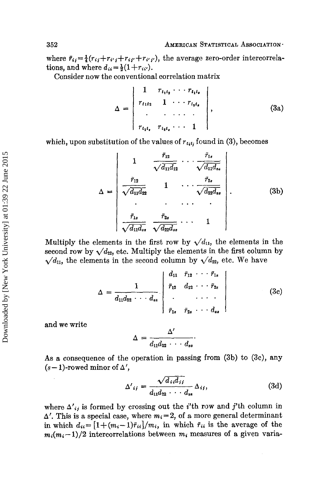where  $\bar{r}_{ij} = \frac{1}{4}(r_{ij}+r_{i'j}+r_{i'j}+r_{i'j'})$ , the average zero-order intercorrelations, and where  $d_{ii}=\frac{1}{2}(1+r_{ii}).$ 

Consider now the conventional correlation matrix

$$
\Delta = \begin{vmatrix} 1 & r_{t_1t_2} & \cdots & r_{t_1t_r} \\ r_{t_1t_2} & 1 & \cdots & r_{t_2t_r} \\ \vdots & \vdots & \ddots & \vdots \\ r_{t_1t_r} & r_{t_2t_2} & \cdots & 1 \end{vmatrix}, \qquad (3a)
$$

which, upon substitution of the values of  $r_{t_i t_j}$  found in (3), becomes

$$
\begin{vmatrix}\nr_{t_1t_1} & r_{t_2t_2} \cdots & 1\n\end{vmatrix}
$$
\n*estitution of the values of*  $r_{t_1t_1}$  *found in (3), becomes*\n
$$
\Delta = \begin{vmatrix}\n1 & \frac{\bar{r}_{12}}{\sqrt{\bar{d}_{11}\bar{d}_{12}}} & \cdots & \frac{\bar{r}_{1s}}{\sqrt{\bar{d}_{11}\bar{d}_{ss}}}\\
\frac{\bar{r}_{12}}{\sqrt{\bar{d}_{11}\bar{d}_{22}}} & 1 & \cdots & \frac{\bar{r}_{2s}}{\sqrt{\bar{d}_{22}\bar{d}_{ss}}}\n\end{vmatrix}.
$$
\n(3b)\n
$$
\frac{\bar{r}_{1s}}{\sqrt{\bar{d}_{11}\bar{d}_{ss}}} = \frac{\bar{r}_{2s}}{\sqrt{\bar{d}_{22}\bar{d}_{ss}}} \cdots \qquad 1
$$

Multiply the elements in the first row by  $\sqrt{d_{11}}$ , the elements in the second row by  $\sqrt{d_{22}}$ , etc. Multiply the elements in the first column by  $\sqrt{d_{11}}$ , the elements in the second column by  $\sqrt{d_{22}}$ , etc. We have

$$
\Delta = \frac{1}{d_{11}d_{22} \cdots d_{ss}} \begin{vmatrix} d_{11} & \bar{r}_{12} & \cdots & \bar{r}_{1s} \\ \bar{r}_{12} & d_{22} & \cdots & \bar{r}_{2s} \\ \vdots & \vdots & \ddots & \vdots \\ \bar{r}_{1s} & \bar{r}_{2s} & \cdots & d_{ss} \end{vmatrix}
$$
 (3c)

and we write

 $\overline{1}$ 

$$
\Delta = \frac{\Delta'}{d_{11}d_{22}\cdots d_{ss}}
$$

As a consequence of the operation in passing from  $(3b)$  to  $(3c)$ , any  $(s-1)$ -rowed minor of  $\Delta'$ ,

$$
\Delta'_{ij} = \frac{\sqrt{d_{ij}d_{jj}}}{d_{11}d_{22} \cdots d_{ss}} \Delta_{ij}, \tag{3d}
$$

where  $\Delta'_{ij}$  is formed by crossing out the *i*'th row and *j*'th column in  $\Delta'$ . This is a special case, where  $m_i=2$ , of a more general determinant in which  $d_{ii}=[1+(m_i-1)\bar{r}_{ii}]/m_i$ , in which  $\bar{r}_{ii}$  is the average of the  $m_i(m_i-1)/2$  intercorrelations between  $m_i$  measures of a given varia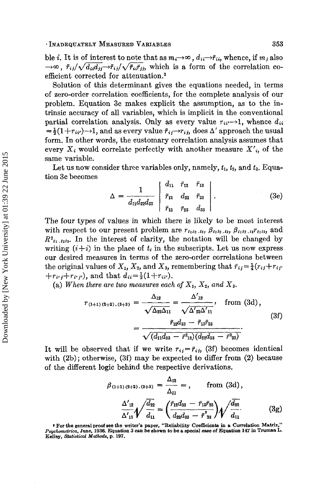ble *i*. It is of interest to note that as  $m_i \rightarrow \infty$ ,  $d_{ii} \rightarrow \bar{r}_{ii}$ , whence, if  $m_i$  also  $\rightarrow \infty$ ,  $\bar{r}_{ij}/\sqrt{d_{ii}d_{jj}} \rightarrow \bar{r}_{ij}/\sqrt{\bar{r}_{ij}\bar{r}_{jj}}$ , which is a form of the correlation coefficient corrected for attenuation.<sup>3</sup>

Solution of this determinant gives the equations needed, in terms of zero-order correlation coefficients, for the complete analysis of our problem. Equation 3c makes explicit the assumption, as to the intrinsic accuracy of all variables, which is implicit in the conventional partial correlation analysis. Only as every value  $r_{ii'} \rightarrow 1$ , whence  $d_{ii}$  $=\frac{1}{2}(1+r_{ii'})\rightarrow 1$ , and as every value  $\bar{r}_{ij}\rightarrow r_{ij}$ , does  $\Delta'$  approach the usual form. In other words, the customary correlation analysis assumes that every  $X_i$  would correlate perfectly with another measure  $X'_{i}$ , of the same variable.

Let us now consider three variables only, namely,  $t_1$ ,  $t_2$ , and  $t_3$ . Equation 3c becomes

$$
\Delta = \frac{1}{d_{11}d_{22}d_{33}} \begin{vmatrix} d_{11} & \bar{r}_{12} & \bar{r}_{13} \\ \bar{r}_{12} & d_{22} & \bar{r}_{23} \\ \bar{r}_{13} & \bar{r}_{23} & d_{33} \end{vmatrix} . \tag{3e}
$$

The four types of values in which there is likely to be most interest with respect to our present problem are  $r_{t_1t_2}$ ,  $t_3$ ,  $\beta_{t_1t_2}$ ,  $t_3$ ,  $\beta_{t_1t_2}$ ,  $t_3r_{t_1t_2}$ , and  $R_{i_1,i_2i_3}$ . In the interest of clarity, the notation will be changed by writing  $(i+i)$  in the place of  $t_i$  in the subscripts. Let us now express our desired measures in terms of the zero-order correlations between the original values of  $X_1$ ,  $X_2$ , and  $X_3$ , remembering that  $\bar{r}_{ij} = \frac{1}{4}(r_{ij} + r_{ij}r_{ij})$  $+r_{i'j}+r_{i'j'}$ , and that  $d_{ii}=\frac{1}{2}(1+r_{ii'})$ .

(a) When there are two measures each of  $X_1$ ,  $X_2$ , and  $X_3$ .

$$
r_{(1+1)(2+2),(3+3)} = \frac{\Delta_{12}}{\sqrt{\Delta_{22}\Delta_{11}}} = \frac{\Delta'_{12}}{\sqrt{\Delta'_{22}\Delta'_{11}}}, \quad \text{from (3d)},
$$

$$
= \frac{\bar{r}_{12}d_{33} - \bar{r}_{13}\bar{r}_{23}}{\sqrt{(d_{11}d_{33} - \bar{r}^2_{13})(d_{22}d_{33} - \bar{r}^2_{23})}}.
$$
(3f)

It will be observed that if we write  $r_{ij} = \bar{r}_{ij}$  (3f) becomes identical with (2b); otherwise, (3f) may be expected to differ from (2) because of the different logic behind the respective derivations.<br>  $\beta_{(1+1)(2+2),(3+3)} = \frac{\Delta_{12}}{\Delta_{11}} =$ , from (3d), of the different logic behind the respective derivations.

$$
\beta_{(1+1)(2+2),(3+3)} = \frac{\Delta_{12}}{\Delta_{11}} = , \quad \text{from (3d)},
$$

$$
\frac{\Delta'_{12}}{\Delta'_{11}} \sqrt{\frac{d_{22}}{d_{11}}} = \left(\frac{\tilde{r}_{12}d_{33} - \tilde{r}_{13}\tilde{r}_{23}}{d_{22}d_{33} - \tilde{r}_{23}^2}\right) \sqrt{\frac{d_{22}}{d_{11}}}.
$$
(3g)

**For the general proof see the writer's paper, "Reliability Coefficients in a Correlation Matrix,"**  Psychometrica, June, 1936. Equation 3 can be shown to be a special case of Equation 147 in Truman L.<br>Kelley, Statistical Methods, p. 197.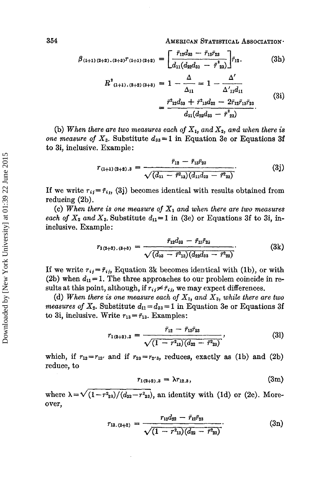**354** AMERICAN STATISTICAL ASSOCIATION.

$$
\beta_{(1+1)(2+2),(3+3)}r_{(1+1)(2+2)} = \left[\frac{\bar{r}_{12}d_{33} - \bar{r}_{13}\bar{r}_{23}}{d_{11}(d_{22}d_{33} - \bar{r}_{23}^2)}\right]\bar{r}_{12}.
$$
 (3h)

$$
R^{2}_{(1+1),(2+2)(3+3)} = 1 - \frac{1}{\Delta_{11}} = 1 - \frac{1}{\Delta'_{11}d_{11}}= \frac{\bar{r}^{2}_{12}d_{33} + \bar{r}^{2}_{13}d_{22} - 2\bar{r}_{12}\bar{r}_{13}\bar{r}_{23}}{d_{11}(d_{22}d_{33} - \bar{r}^{2}_{23})}
$$
(3i)

(b) When there are two measures each of  $X_1$ , and  $X_2$ , and when there is *one measure of*  $X_3$ . Substitute  $d_{33} = 1$  in Equation 3e or Equations 3f to 3i, inclusive. Example:

$$
r_{(1+1)(2+2).3} = \frac{\bar{r}_{12} - \bar{r}_{13}\bar{r}_{23}}{\sqrt{(d_{11} - \bar{r}_{13}^2)(d_{11}d_{22} - \bar{r}_{23}^2)}}.
$$
(3j)

If we write  $r_{ij} = \bar{r}_{ij}$ , (3j) becomes identical with results obtained from reducing (2b).

(c) When there is one measure of  $X_1$  and when there are two measures *each of*  $X_2$  *and*  $X_3$ . Substitute  $d_{11}=1$  in (3e) or Equations 3f to 3i, ininclusive. Example :

$$
r_{1(2+2),(3+3)} = \frac{\bar{r}_{12}d_{33} - \bar{r}_{13}\bar{r}_{23}}{\sqrt{(d_{33} - \bar{r}_{13})(d_{22}d_{33} - \bar{r}_{23})}}.
$$
 (3k)

If we write  $r_{ij} = \bar{r}_{ij}$ , Equation 3k becomes identical with (1b), or with (2b) when  $d_{11} = 1$ . The three approaches to our problem coincide in results at this point, although, if  $r_{ij} \neq \bar{r}_{ij}$ , we may expect differences.

(d) When there is one measure each of  $X_1$ , and  $X_3$ , while there are two *measures of*  $X_2$ . Substitute  $d_{11} = d_{33} = 1$  in Equation 3e or Equations 3f to 3i, inclusive. Write  $r_{13} = \bar{r}_{13}$ . Examples:

$$
r_{1(2+2).3} = \frac{\bar{r}_{12} - \bar{r}_{13}\bar{r}_{23}}{\sqrt{(1 - r^2_{13})(d_{22} - \bar{r}^2_{23})}},
$$
\n(31)

which, if  $r_{12}=r_{12}$  and if  $r_{23}=r_{23}$ , reduces, exactly as (1b) and (2b) reduce, to

$$
r_{1(2+2),3} = \lambda r_{12,3}, \qquad (3m)
$$

where  $\lambda = \sqrt{(1-r^2_{23})/(d_{22}-r^2_{23})}$ , an identity with (1d) or (2c). Moreover,

$$
r_{1(2+2).3} = \lambda r_{12.3}, \qquad (3m)
$$
  

$$
\frac{r_{23}}{(d_{22}-r_{23})}, \text{ an identity with (1d) or (2c). More-}
$$
  

$$
r_{13.(2+2)} = \frac{r_{13}d_{22} - \bar{r}_{12}\bar{r}_{23}}{\sqrt{(1-r_{13})(d_{22}-\bar{r}_{23})}}.
$$
 (3n)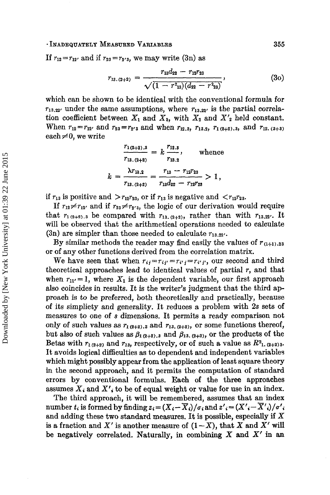## - **INADEQUATELY MEASURED VARIABLES 355**

If  $r_{12} = r_{12'}$  and if  $r_{23} = r_{2'3}$ , we may write (3n) as

$$
r_{13.(2+2)} = \frac{r_{13}d_{22} - r_{12}r_{23}}{\sqrt{(1 - r_{13}^2)(d_{22} - r_{23})}},
$$
 (30)

which can be shown to be identical with the conventional formula for  $r_{13,22'}$  under the same assumptions, where  $r_{13,22'}$  is the partial correlation coefficient between  $X_1$  and  $X_3$ , with  $X_2$  and  $X'_2$  held constant. When  $r_{12} = r_{12}$ , and  $r_{23} = r_{2'3}$  and when  $r_{12.3}$ ,  $r_{13.2}$ ,  $r_{1(2+2).3}$ , and  $r_{12. (3+3)}$ <br>each  $\neq 0$ , we write  $\frac{r_{1(2+2).3}}{r_{13. (2+2)}} = k \frac{r_{12.3}}{r_{13.2}}$ , whence each  $\neq$ 0, we write

$$
\frac{r_{1(2+2).3}}{r_{13.(2+2)}} = k \frac{r_{12.3}}{r_{13.2}}, \text{ whence}
$$
\n
$$
k = \frac{\lambda r_{13.2}}{r_{13.(2+2)}} = \frac{r_{13} - r_{12}r_{23}}{r_{13}d_{22} - r_{12}r_{23}} > 1,
$$

if  $r_{13}$  is positive and  $>r_{12}r_{23}$ , or if  $r_{13}$  is negative and  $\langle r_{12}r_{23}$ .

If  $r_{12} \neq r_{12}$  and if  $r_{23} \neq r_{2'3}$ , the logic of our derivation would require that  $r_1_{(2+2),3}$  be compared with  $r_{13,(2+2)}$ , rather than with  $r_{13,22'}$ . It will be observed that the arithmetical operations needed to calculate  $(3n)$  are simpler than those needed to calculate  $r_{13.22}$ .

By similar methods the reader may find easily the values of  $r_{(1+1),23}$ or of any other functions derived from the correlation matrix.

We have seen that when  $r_{ij}=r_{ij}=r_{i'j}=r_{i'j'}$ , our second and third theoretical approaches lead to identical values of partial *r,* and that when  $r_{11'} = 1$ , where  $X_1$  is the dependent variable, our first approach also coincides in results. It is the writer's judgment that the third approach is to be preferred, both theoretically and practically, because of its simplicty and generality. It reduces a problem with *2s* sets of measures to one of s dimensions. It permits a ready comparison not only of such values as  $r_1$ <sub>(2+2)</sub>, and  $r_1$ <sub>3</sub>. (2+2), or some functions thereof, but also of such values as  $\beta_{1(2+2),3}$  and  $\beta_{13,(2+2)}$ , or the products of the Betas with  $r_{1(2+2)}$  and  $r_{13}$ , respectively, or of such a value as  $R^2$ <sub>1</sub>,  $(2+2)$ <sub>3</sub>. It avoids logical difficulties as to dependent and independent variables which might possibly appear from the application of least square theory in the second approach, and it permits the computation of standard errors by conventional formulas. Each **of** the three approaches assumes *Xi* and *X',* **to** be **of** equal weight or value for use in an index.

sumes  $X_i$  and  $X'_i$  to be of equal weight or value for use in an index.<br>The third approach, it will be remembered, assumes that an index unber t, is formed by finding  $z = (X - \overline{X})/a \cdot$  and  $z' = (X' - \overline{X}')/a'$ . number  $t_i$  is formed by finding  $z_i = (X_i - \overline{X}_i)/\sigma_i$  and  $z'_{i} = (X'_{i} - \overline{X}'_{i})/\sigma'_{i}$ and adding these two standard measures. It is possible, especially if **X**  is a fraction and X' is another measure of  $(1-X)$ , that X and X' will be negatively correlated. Naturally, in combining *X* and *X'* in **an**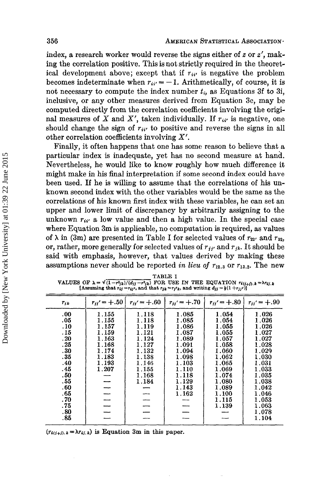index, a research worker would reverse the signs either of *z* or *z',* making the correlation positive. This is not strictly required in the theoretical development above; except that if  $r_{ii'}$  is negative the problem becomes indeterminate when  $r_{ii'} = -1$ . Arithmetically, of course, it is not necessary to compute the index number *ti,* as Equations 3f to 3i, inclusive, or any other measures derived from Equation 3c, may be computed directly from the correlation coefficients involving the original measures of X and X', taken individually. If  $r_{ii'}$  is negative, one should change the sign of  $r_{ii'}$  to positive and reverse the signs in all other correlation coefficients involving *X'.* 

Finally, it often happens that one has some reason to believe that a particular index is inadequate, yet has no second measure at hand. Nevertheless, he would like to know roughly how much difference it might make in his final interpretation if some second index could **have**  been used. **If** he is willing to assume that the correlations of his unknown second index with the other variables would be the same as the correlations of his known first index with these variables, he can set an upper and lower limit of discrepancy by arbitrarily assigning to the unknown  $r_{ii}$  a low value and then a high value. In the special case where Equation **3m** is applicable, no computation is required, as values of  $\lambda$  in (3m) are presented in Table I for selected values of  $r_{22}$  and  $r_{32}$ , or, rather, more generally for selected values of  $r_{ji'}$  and  $r_{jk}$ . It should be said with emphasis, however, that values derived by making these assumptions never should be reported *in lieu* of *r12.3* or *r13.2.* The new

| VALUES OF $\lambda = \sqrt{(1-r_{jk})/(d_{jj}-r_{jk}^2)}$ FOR USE IN THE EQUATION $r_{i(j+j),k} = \lambda r_{ij,k}$<br>[Assuming that $r_{ij} = r_{ij}i$ , and that $r_{jk} = r_{j'}k$ , and writing $d_{jj} = \frac{1}{2}(1 + r_{jj'}i)$ ] |                                                                                        |                                                                                                          |                                                                                                                            |                                                                                                                                              |                                                                                                                                              |  |  |  |  |  |
|---------------------------------------------------------------------------------------------------------------------------------------------------------------------------------------------------------------------------------------------|----------------------------------------------------------------------------------------|----------------------------------------------------------------------------------------------------------|----------------------------------------------------------------------------------------------------------------------------|----------------------------------------------------------------------------------------------------------------------------------------------|----------------------------------------------------------------------------------------------------------------------------------------------|--|--|--|--|--|
| $r_{ik}$                                                                                                                                                                                                                                    | $r_{ij'} = +.50$                                                                       | $r_{ii'} = +0.60$                                                                                        | $r_{ii'} = +0.70$                                                                                                          | $r_{ii'} = +0.80$                                                                                                                            | $r_{ii'} = +.90$                                                                                                                             |  |  |  |  |  |
| .00.<br>.05<br>.10<br>. 15<br>.20<br>.25<br>.30<br>. 35<br>.40<br>.45<br>.50<br>. 55<br>.60<br>.65<br>. 70<br>.75                                                                                                                           | 1.155<br>1.155<br>1.157<br>1.159<br>1.163<br>1.168<br>1.174<br>1.183<br>1.193<br>1.207 | 1.118<br>1.118<br>1.119<br>1.121<br>1.124<br>1.127<br>1.132<br>1.138<br>1.146<br>1.155<br>1.168<br>1.184 | 1.085<br>1.085<br>1.086<br>1.087<br>1.089<br>1.091<br>1.094<br>1.098<br>1.103<br>1.110<br>1.118<br>1.129<br>1.143<br>1.162 | 1.054<br>1.054<br>1.055<br>1.055<br>1.057<br>1.058<br>1.060<br>1.062<br>1.065<br>1.069<br>1.074<br>1.080<br>1.089<br>1.100<br>1.115<br>1.139 | 1.026<br>1.026<br>1.026<br>1.027<br>1.027<br>1.028<br>1.029<br>1,030<br>1.031<br>1.033<br>1.035<br>1.038<br>1.042<br>1.046<br>1.053<br>1.063 |  |  |  |  |  |
| .80<br>.85                                                                                                                                                                                                                                  |                                                                                        |                                                                                                          |                                                                                                                            |                                                                                                                                              | 1.078<br>1.104                                                                                                                               |  |  |  |  |  |

**TABLE I** 

 $(r_{i(i+j),k} = \lambda r_{ij,k})$  is Equation 3m in this paper.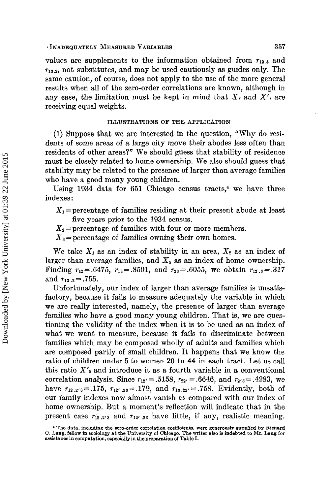#### - **INADEQUATELY MEASURED VARIABLES 357**

values are supplements to the information obtained from  $r_{12,3}$  and **T13.2,** not substitutes, and may be used cautiously as guides only. The same caution, of course, does not apply to the use of the more general results when all of the zero-order correlations are known, although in any case, the limitation must be kept in mind that  $X_i$  and  $X'_i$  are receiving equal weights.

## **ILLUSTRATIONS OF THE APPLICATION**

**(1)** Suppose that we are interested in the question, "Why do residents of some areas of a large city move their abodes less often than residents of other areas?" We should guess that stability of residence must be closely related to home ownership. We also should guess that stability may be related to the presence of larger than average families who have a good many young children.

Using 1934 data for 651 Chicago census tracts.<sup>4</sup> we have three indexes :

 $X_1$ =percentage of families residing at their present abode at least five years **prior to** the **1934 census.** 

 $X_2$ = percentage of families with four or more members.

 $X_3$ =percentage of families owning their own homes.

We take  $X_1$  as an index of stability in an area,  $X_2$  as an index of larger than average families, and  $X_3$  as an index of home ownership. Finding  $r_{12} = .6475$ ,  $r_{13} = .8501$ , and  $r_{23} = .6055$ , we obtain  $r_{12,3} = .317$ and  $r_{13,2} = .755$ .

Unfortunately, our index of Iarger than average families is unsatisfactory, because it fails to measure adequately the variable in which we are really interested, namely, the presence of larger than average families who have a good many young children. That is, we are questioning the validity of the index when it is to be used as an index of what we want to measure, because it fails to discriminate between families which may be composed wholly of adults and families which are composed partly of small children. It happens that we know the ratio of children under **5** to women **20** to **44** in each tract. Let us call this ratio  $X'_{2}$  and introduce it as a fourth variable in a conventional correlation analysis. Since  $r_{12'} = .5158$ ,  $r_{22'} = .6646$ , and  $r_{2'3} = .4283$ , we have  $r_{12.2'3} = .175$ ,  $r_{12' .23} = .179$ , and  $r_{13.22'} = .758$ . Evidently, both of our family indexes now almost vanish as compared with our index of home ownership. But a moment's reflection will indicate that in the present case  $r_{12,2'3}$  and  $r_{12'2}$  have little, if any, realistic meaning.

**<sup>4</sup> The data, including the zero-order correlation coe5cienb. were generously supplied by Richard 0. Lang, fellow in sociology at the University of Chicago. The writer also is indebted to Mr. Lang for assistance in computation, eapecially in the preparation of Table I.**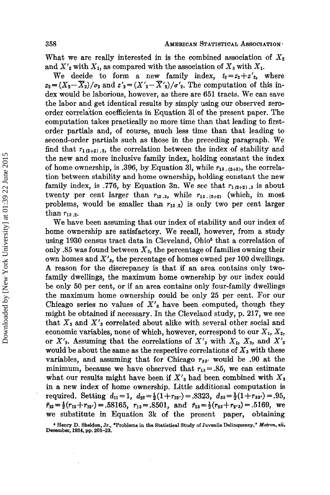What we are really interested in is the combined association of  $X_2$ and  $X'_2$  with  $X_1$ , as compared with the association of  $X_3$  with  $X_1$ .

We decide to form a new family index,  $t_2 = z_2 + z'_2$ , where  $z_2 = (X_2 - \overline{X}_2)/\sigma_2$  and  $z'_2 = (X'_2 - \overline{X'}_2)/\sigma'_2$ . The computation of this index would be laborious, however, as there are 651 tracts. We can save the labor and get identical results by simply using our observed zeroorder correlation coefficients in Equation 31 of the present paper. The computation takes practically no more time than that leading to firstorder partials and, **of** course, much less time than that leading to second-order partials such as those in the preceding paragraph. **We**  find that  $r_{1(2+2)}$ , i, the correlation between the index of stability and the new and more inclusive family index, holding constant the index of home ownership, is .396, by Equation 31, while  $r_{13}$ ,  $_{(2+2)}$ , the correlation between stability and home ownership, holding constant the new family index, is .776, by Equation 3n. We see that  $r_{1(2+2),3}$  is about twenty per cent larger than  $r_{12.3}$ , while  $r_{13. (2+2)}$  (which, in most problems, would be smaller than  $r_{13.2}$  is only two per cent larger than  $r_{13,2}$ .

We have been assuming that our index of stability and our index of home ownership are satisfactory. We recall, however, from a study using 1930 census tract data in Cleveland, Ohio<sup>5</sup> that a correlation of only .85 was found between  $X_3$ , the percentage of families owning their own homes and *X'3,* the percentage **of** homes owned per 100 dwellings. **A** reason for the discrepancy is that if an atea contains only twofamily dwellings, the maximum home ownership by our index could be only *50* per cent, or if an area contains only four-family dwellings the maximum home ownership could be only 25 per cent. For our Chicago series no values of  $X<sub>3</sub>$  have been computed, though they might be obtained if necessary. In the Cleveland study, p. 217, we see that *X3* and *X'3* correlated about alike with several other social and economic variables, none of which, however, correspond to our  $X_1, X_2,$ or  $X'$ <sub>2</sub>. Assuming that the correlations of  $X'$ <sub>3</sub> with  $X_1$ ,  $X_2$ , and  $X'$ <sub>2</sub> would be about the same as the respective correlations of  $X_3$  with these variables, and assuming that for Chicago  $r_{33}$  would be .90 at the minimum, because we have observed that  $r_{13} = .85$ , we can estimate what our results might have been if  $X'_{3}$  had been combined with  $X_{3}$ in a new index of home ownership. Little additional computation is required. Setting  $d_{11}=1$ ,  $d_{22}=\frac{1}{2}(1+r_{22})=.8323$ ,  $d_{33}=\frac{1}{2}(1+r_{33})=.95$ ,  $\tilde{r}_{12}=\frac{1}{2}(r_{12}+r_{12'})=.58165$ ,  $r_{13}=.8501$ , and  $\tilde{r}_{23}=\frac{1}{2}(r_{23}+r_{23})=.5169$ , we we substitute in Equation **3k** of the present paper, obtaining

<sup>&</sup>lt;sup>5</sup> Henry D. Sheldon, Jr., "Problems in the Statistical Study of Juvenile Delinquency," Metron, xii, **Deaember, 1934, pp. 201-23.**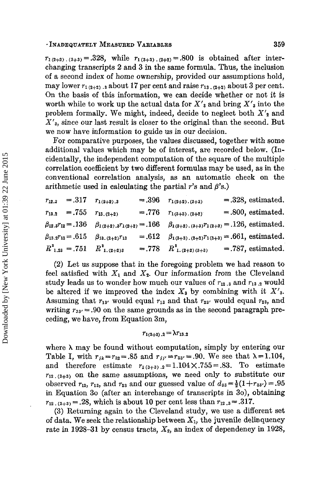### $+$ **INADEQUATELY MEASURED VARIABLES** 359

 $r_{1(2+2),(3+3)} = .328$ , while  $r_{1(3+3),(2+2)} = .800$  is obtained after interchanging transcripts **2** and **3** in the same formula. Thus, the inclusion of a second index of home ownership, provided our assumptions hold, may lower  $r_{1(2+2)}$ , a about 17 per cent and raise  $r_{13}$ ,  $_{(2+2)}$  about 3 per cent. On the basis **of** this information, we can decide whether or not it is worth while to work up the actual data for  $X'_{3}$  and bring  $X'_{3}$  into the problem formally. We might, indeed, decide to neglect both  $X'_{2}$  and **X'3,** since our last result is closer to the original than the second. But we now have information *to* guide us in our decision.

For comparative purposes, the values discussed, together with some additional values which may be of interest, are recorded below. (Incidentally, the independent computation of the square **of** the multiple correlation coefficient by two different formulas may be used, as in the conventional correlation analysis, as an automatic check on the arithmetic used in calculating the partial  $r$ 's and  $\beta$ 's.)

| $r_{12.3} = .317$ $r_{1(2+2).3}$ |                                      | $=.396 \t r_{1(2+2).(3+3)}$                                                                                        | $= .328$ , estimated.  |
|----------------------------------|--------------------------------------|--------------------------------------------------------------------------------------------------------------------|------------------------|
| $r_{13.2} = .755$                | $r_{13,(2+2)}$                       | $= .776$ $r_{1(3+3),(2+2)}$                                                                                        | $= 0.800$ , estimated. |
|                                  |                                      | $\beta_{12.3}r_{12} = .136$ $\beta_{1(2+2).3}r_{1(2+2)} = .166$ $\beta_{1(2+2).3+3}r_{1(2+2)} = .126$ , estimated. |                        |
| $\beta_{13.2}r_{13}=.615$        | $\beta_{13,(2+2)}r_{13}$             | $= .612$ $\beta_{1(3+3),(2+2)}r_{1(3+3)} = .661$ , estimated.                                                      |                        |
|                                  | $R^2_{1,23} = .751 \ R^2_{1,(2+2)3}$ | $= .778$ $R_{1.(2+2)(3+3)}^2$ $= .787$ , estimated.                                                                |                        |

**(2)** Let us suppose that in the foregoing problem we had reason to feel satisfied with  $X_1$  and  $X_2$ . Our information from the Cleveland study leads us to wonder how much our values of  $r_{12,3}$  and  $r_{13,2}$  would be altered if we improved the index  $X_3$  by combining with it  $X'_3$ . Assuming that  $r_{13'}$  would equal  $r_{13}$  and that  $r_{23'}$  would equal  $r_{23}$ , and writing  $r_{33'} = .90$  on the same grounds as in the second paragraph preceding, we have, from Equation **3m,** 

$$
r_{1(3+3),2}=\lambda r_{13,2}
$$

where  $\lambda$  may be found without computation, simply by entering our Table I, with  $r_{jk} = r_{32} = .85$  and  $r_{jj'} = r_{33'} = .90$ . We see that  $\lambda = 1.104$ , and therefore estimate  $r_{1(3+3),2} = 1.104 \times 0.755 = 0.83$ . To estimate **r12.(3+3)** on the same assumptions, we need only to substitute our observed  $r_{12}$ ,  $r_{13}$ , and  $r_{23}$  and our guessed value of  $d_{33} = \frac{1}{2}(1+r_{33}) = .95$ in Equation *30* (after an interchange **of** transcripts in **30))** obtaining  $r_{12}$ ,  $r_{13+3} = .28$ , which is about 10 per cent less than  $r_{12}$ ,  $s = .317$ .

**(3)** Returning again to the Cleveland study, we use a different set of data. We seek the relationship between  $X_1$ , the juvenile delinquency rate in 1928-31 by census tracts,  $X_2$ , an index of dependency in 1928,